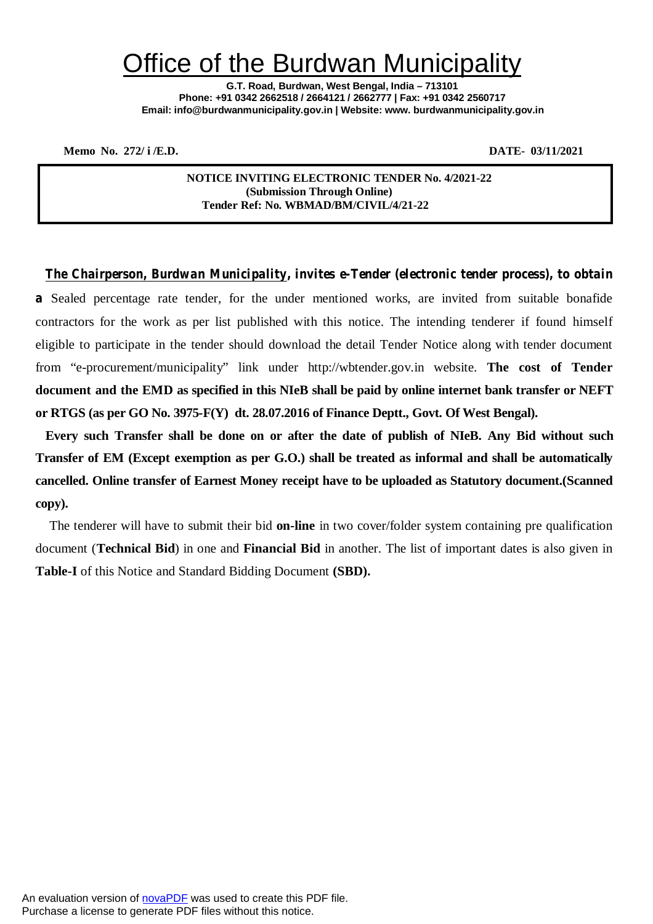# Office of the Burdwan Municipality

**G.T. Road, Burdwan, West Bengal, India – 713101 Phone: +91 0342 2662518 / 2664121 / 2662777 | Fax: +91 0342 2560717 Email: info@burdwanmunicipality.gov.in | Website: www. burdwanmunicipality.gov.in**

**Memo No. 272/ i /E.D. DATE- 03/11/2021** 

**NOTICE INVITING ELECTRONIC TENDER No. 4/2021-22 (Submission Through Online) Tender Ref: No. WBMAD/BM/CIVIL/4/21-22**

*The Chairperson, Burdwan Municipality, invites e-Tender (electronic tender process), to obtain* **a** Sealed percentage rate tender, for the under mentioned works, are invited from suitable bonafide contractors for the work as per list published with this notice. The intending tenderer if found himself eligible to participate in the tender should download the detail Tender Notice along with tender document from "e-procurement/municipality" link under http://wbtender.gov.in website. **The cost of Tender document and the EMD as specified in this NIeB shall be paid by online internet bank transfer or NEFT or RTGS (as per GO No. 3975-F(Y) dt. 28.07.2016 of Finance Deptt., Govt. Of West Bengal).**

**Every such Transfer shall be done on or after the date of publish of NIeB. Any Bid without such Transfer of EM (Except exemption as per G.O.) shall be treated as informal and shall be automatically cancelled. Online transfer of Earnest Money receipt have to be uploaded as Statutory document.(Scanned copy).**

The tenderer will have to submit their bid **on-line** in two cover/folder system containing pre qualification document (**Technical Bid**) in one and **Financial Bid** in another. The list of important dates is also given in **Table-I** of this Notice and Standard Bidding Document **(SBD).**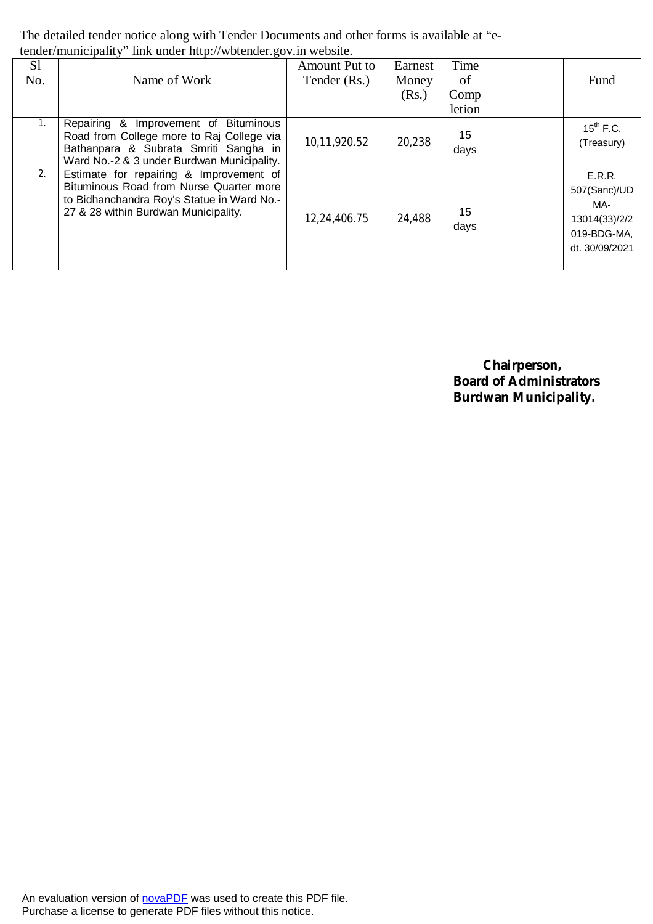The detailed tender notice along with Tender Documents and other forms is available at "etender/municipality" link under http://wbtender.gov.in website.

| S1<br>No. | Name of Work                                                                                                                                                                 | Amount Put to<br>Tender (Rs.) | Earnest<br>Money<br>(Rs.) | Time<br>of<br>Comp<br>letion | Fund                                                                            |
|-----------|------------------------------------------------------------------------------------------------------------------------------------------------------------------------------|-------------------------------|---------------------------|------------------------------|---------------------------------------------------------------------------------|
|           | & Improvement of Bituminous<br>Repairing<br>Road from College more to Raj College via<br>Bathanpara & Subrata Smriti Sangha in<br>Ward No.-2 & 3 under Burdwan Municipality. | 10,11,920.52                  | 20,238                    | 15<br>days                   | $15^{th}$ F.C.<br>(Treasury)                                                    |
| 2.        | Estimate for repairing & Improvement of<br>Bituminous Road from Nurse Quarter more<br>to Bidhanchandra Roy's Statue in Ward No.-<br>27 & 28 within Burdwan Municipality.     | 12,24,406.75                  | 24,488                    | 15<br>days                   | E.R.R.<br>507(Sanc)/UD<br>MA-<br>13014(33)/2/2<br>019-BDG-MA,<br>dt. 30/09/2021 |

 **Chairperson, Board of Administrators Burdwan Municipality.**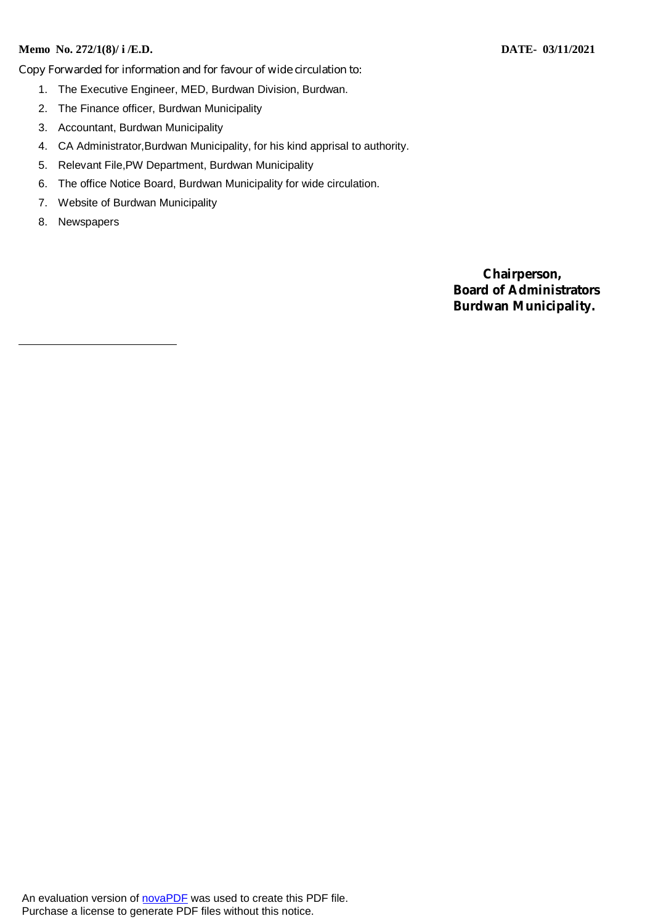#### **Memo No. 272/1(8)/ i /E.D. DATE- 03/11/2021**

Copy Forwarded for information and for favour of wide circulation to:

- 1. The Executive Engineer, MED, Burdwan Division, Burdwan.
- 2. The Finance officer, Burdwan Municipality
- 3. Accountant, Burdwan Municipality
- 4. CA Administrator,Burdwan Municipality, for his kind apprisal to authority.
- 5. Relevant File,PW Department, Burdwan Municipality
- 6. The office Notice Board, Burdwan Municipality for wide circulation.
- 7. Website of Burdwan Municipality
- 8. Newspapers

 **Chairperson, Board of Administrators Burdwan Municipality.**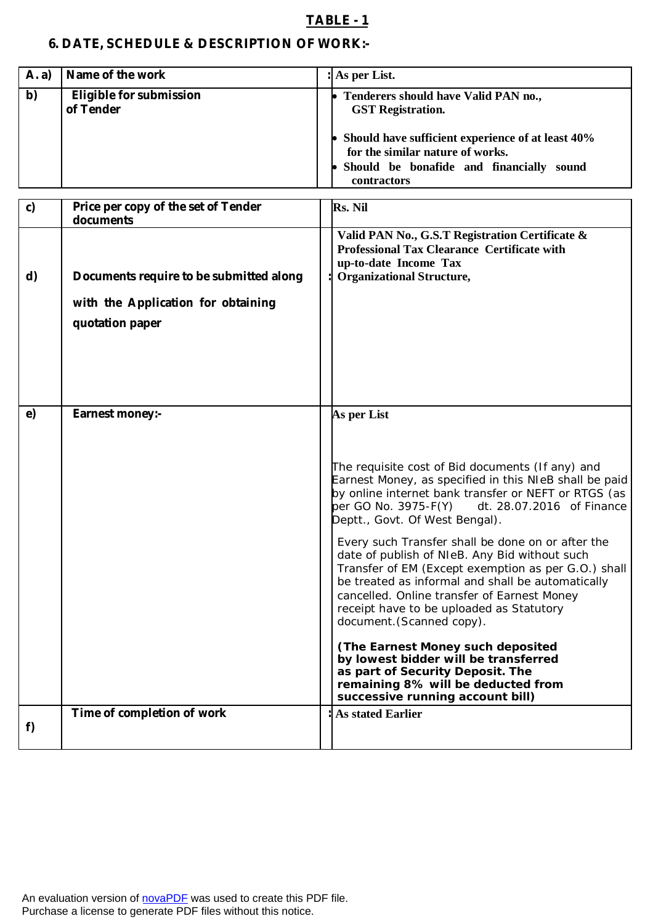## **TABLE - 1**

# **6. DATE, SCHEDULE & DESCRIPTION OF WORK:-**

| Name of the work<br>A. a)                         | : As per List.                                                                                                                                                                                                                |
|---------------------------------------------------|-------------------------------------------------------------------------------------------------------------------------------------------------------------------------------------------------------------------------------|
| b)<br><b>Eligible for submission</b><br>of Tender | Tenderers should have Valid PAN no.,<br><b>GST</b> Registration.<br>Should have sufficient experience of at least 40%<br>for the similar nature of works.<br>• Should be bonafide and financially sound<br><b>contractors</b> |

| c) | Price per copy of the set of Tender<br>documents                                                 | Rs. Nil                                                                                                                                                                                                                                                                                                                                                                                                                                                                                                                                                                                                                                                                                                                                                                                                       |
|----|--------------------------------------------------------------------------------------------------|---------------------------------------------------------------------------------------------------------------------------------------------------------------------------------------------------------------------------------------------------------------------------------------------------------------------------------------------------------------------------------------------------------------------------------------------------------------------------------------------------------------------------------------------------------------------------------------------------------------------------------------------------------------------------------------------------------------------------------------------------------------------------------------------------------------|
| d) | Documents require to be submitted along<br>with the Application for obtaining<br>quotation paper | Valid PAN No., G.S.T Registration Certificate &<br><b>Professional Tax Clearance Certificate with</b><br>up-to-date Income Tax<br><b>Organizational Structure,</b>                                                                                                                                                                                                                                                                                                                                                                                                                                                                                                                                                                                                                                            |
| e) | <b>Earnest money:-</b>                                                                           | As per List<br>The requisite cost of Bid documents (If any) and<br>Earnest Money, as specified in this NIeB shall be paid<br>by online internet bank transfer or NEFT or RTGS (as<br>per GO No. 3975-F(Y)<br>dt. 28.07.2016 of Finance<br>Deptt., Govt. Of West Bengal).<br>Every such Transfer shall be done on or after the<br>date of publish of NIeB. Any Bid without such<br>Transfer of EM (Except exemption as per G.O.) shall<br>be treated as informal and shall be automatically<br>cancelled. Online transfer of Earnest Money<br>receipt have to be uploaded as Statutory<br>document. (Scanned copy).<br>(The Earnest Money such deposited<br>by lowest bidder will be transferred<br>as part of Security Deposit. The<br>remaining 8% will be deducted from<br>successive running account bill) |
| f) | Time of completion of work                                                                       | <b>As stated Earlier</b>                                                                                                                                                                                                                                                                                                                                                                                                                                                                                                                                                                                                                                                                                                                                                                                      |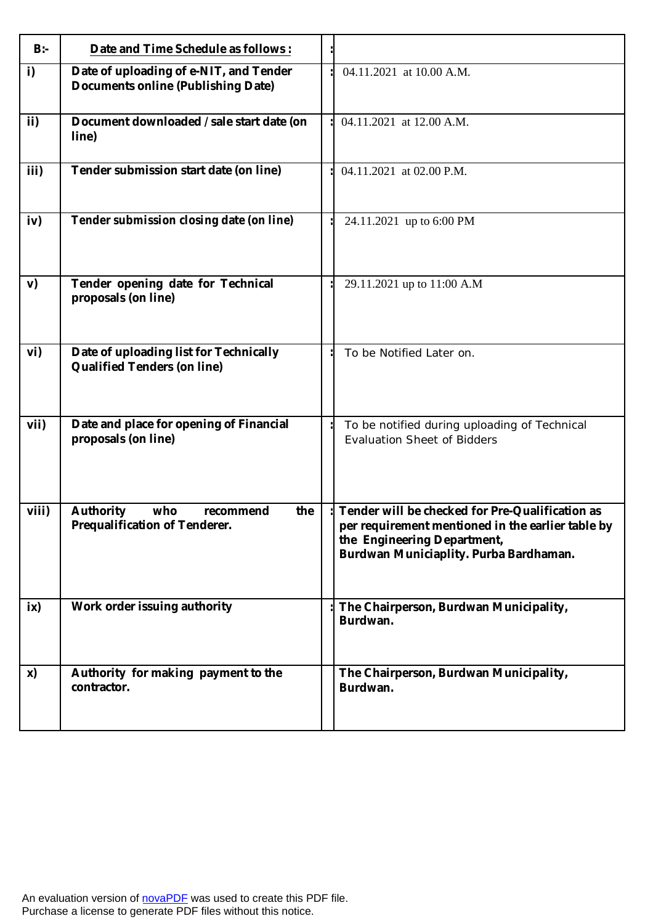| $B$ :- | Date and Time Schedule as follows:                                                  |                                                                                                                                                                               |
|--------|-------------------------------------------------------------------------------------|-------------------------------------------------------------------------------------------------------------------------------------------------------------------------------|
| i)     | Date of uploading of e-NIT, and Tender<br><b>Documents online (Publishing Date)</b> | 04.11.2021 at 10.00 A.M.                                                                                                                                                      |
| ii)    | Document downloaded / sale start date (on<br>line)                                  | 04.11.2021 at 12.00 A.M.                                                                                                                                                      |
| iii)   | Tender submission start date (on line)                                              | 04.11.2021 at 02.00 P.M.                                                                                                                                                      |
| iv)    | Tender submission closing date (on line)                                            | 24.11.2021 up to 6:00 PM                                                                                                                                                      |
| V)     | Tender opening date for Technical<br>proposals (on line)                            | 29.11.2021 up to 11:00 A.M                                                                                                                                                    |
| vi)    | Date of uploading list for Technically<br><b>Qualified Tenders (on line)</b>        | To be Notified Later on.                                                                                                                                                      |
| vii)   | Date and place for opening of Financial<br>proposals (on line)                      | To be notified during uploading of Technical<br><b>Evaluation Sheet of Bidders</b>                                                                                            |
| viii)  | <b>Authority</b><br>who<br>the<br>recommend<br>Prequalification of Tenderer.        | Tender will be checked for Pre-Qualification as<br>per requirement mentioned in the earlier table by<br>the Engineering Department,<br>Burdwan Municiaplity. Purba Bardhaman. |
| ix)    | Work order issuing authority                                                        | The Chairperson, Burdwan Municipality,<br>Burdwan.                                                                                                                            |
| x)     | Authority for making payment to the<br>contractor.                                  | The Chairperson, Burdwan Municipality,<br>Burdwan.                                                                                                                            |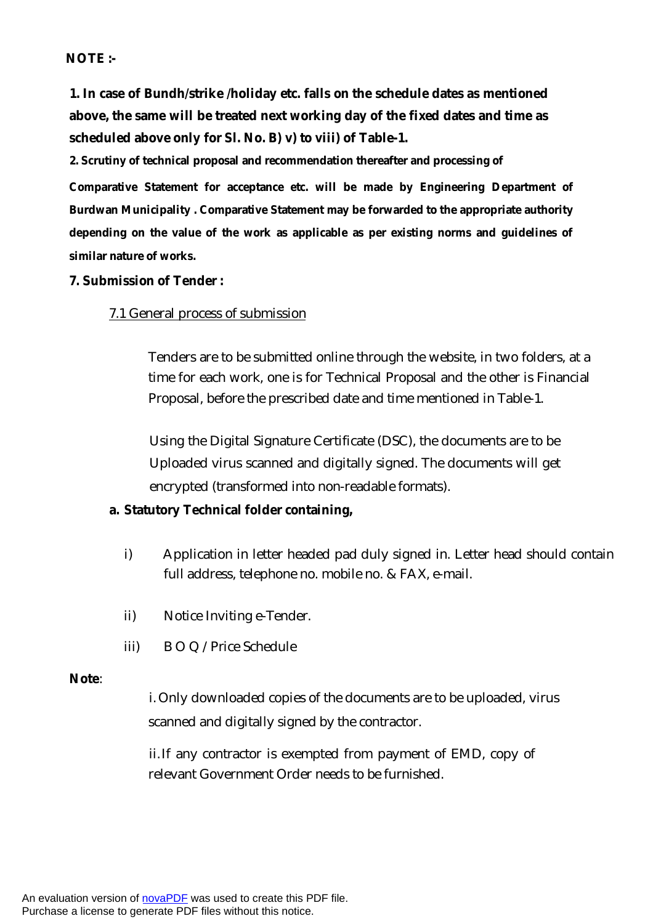# **NOTE :-**

**1. In case of Bundh/strike /holiday etc. falls on the schedule dates as mentioned above, the same will be treated next working day of the fixed dates and time as scheduled above only for Sl. No. B) v) to viii) of Table-1.** 

**2. Scrutiny of technical proposal and recommendation thereafter and processing of** 

**Comparative Statement for acceptance etc. will be made by Engineering Department of Burdwan Municipality . Comparative Statement may be forwarded to the appropriate authority depending on the value of the work as applicable as per existing norms and guidelines of similar nature of works.**

#### **7. Submission of Tender :**

## 7.1 General process of submission

Tenders are to be submitted online through the website, in two folders, at a time for each work, one is for Technical Proposal and the other is Financial Proposal, before the prescribed date and time mentioned in Table-1.

Using the Digital Signature Certificate (DSC), the documents are to be Uploaded virus scanned and digitally signed. The documents will get encrypted (transformed into non-readable formats).

#### **a. Statutory Technical folder containing,**

- i) Application in letter headed pad duly signed in. Letter head should contain full address, telephone no. mobile no. & FAX, e-mail.
- ii) Notice Inviting e-Tender.
- iii) B O Q /Price Schedule

#### **Note**:

i. Only downloaded copies of the documents are to be uploaded, virus scanned and digitally signed by the contractor.

ii.If any contractor is exempted from payment of EMD, copy of relevant Government Order needs to be furnished.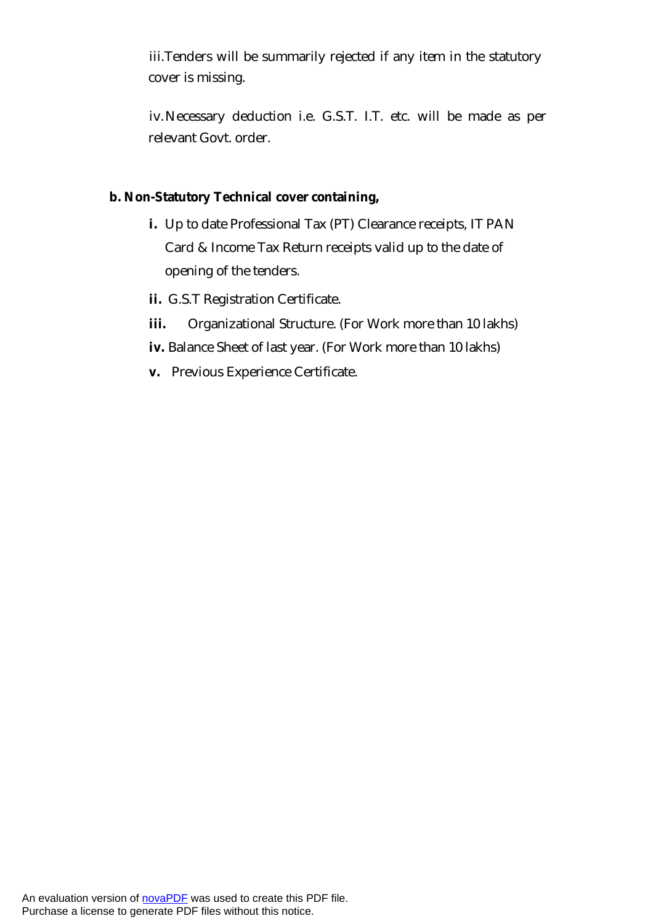iii.Tenders will be summarily rejected if any item in the statutory cover is missing.

iv.Necessary deduction i.e. G.S.T. I.T. etc. will be made as per relevant Govt. order.

# **b. Non-Statutory Technical cover containing,**

- **i.** Up to date Professional Tax (PT) Clearance receipts, IT PAN Card & Income Tax Return receipts valid up to the date of opening of the tenders.
- **ii.** G.S.T Registration Certificate.
- **iii.** Organizational Structure. (For Work more than 10 lakhs)
- **iv.** Balance Sheet of last year. (For Work more than 10 lakhs)
- **v.** Previous Experience Certificate.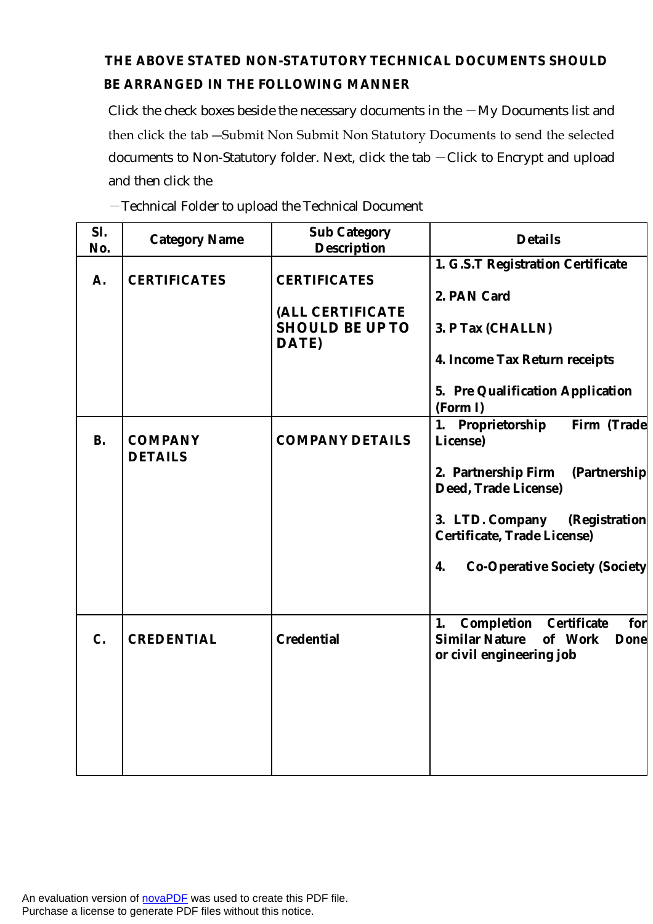# **THE ABOVE STATED NON-STATUTORY TECHNICAL DOCUMENTS SHOULD BE ARRANGED IN THE FOLLOWING MANNER**

Click the check boxes beside the necessary documents in the  $-My$  Documents list and then click the tab ―Submit Non Submit Non Statutory Documents to send the selected documents to Non-Statutory folder. Next, click the tab ―Click to Encrypt and upload and then click the

―Technical Folder to upload the Technical Document

| SI.<br>No. | <b>Category Name</b>             | <b>Sub Category</b><br><b>Description</b>           | <b>Details</b>                                                              |
|------------|----------------------------------|-----------------------------------------------------|-----------------------------------------------------------------------------|
| А.         | <b>CERTIFICATES</b>              | <b>CERTIFICATES</b>                                 | 1. G.S.T Registration Certificate<br>2. PAN Card                            |
|            |                                  | (ALL CERTIFICATE<br><b>SHOULD BE UP TO</b><br>DATE) | 3. P Tax (CHALLN)                                                           |
|            |                                  |                                                     | 4. Income Tax Return receipts                                               |
|            |                                  |                                                     | 5. Pre Qualification Application<br>(Form I)                                |
| <b>B.</b>  | <b>COMPANY</b><br><b>DETAILS</b> | <b>COMPANY DETAILS</b>                              | 1. Proprietorship<br>Firm (Trade<br>License)                                |
|            |                                  |                                                     | 2. Partnership Firm<br>(Partnership<br>Deed, Trade License)                 |
|            |                                  |                                                     | 3. LTD. Company<br>(Registration<br><b>Certificate, Trade License)</b>      |
|            |                                  |                                                     | 4.<br><b>Co-Operative Society (Society</b>                                  |
|            |                                  |                                                     | <b>Completion Certificate</b><br>1.<br>for                                  |
| C.         | <b>CREDENTIAL</b>                | <b>Credential</b>                                   | <b>Similar Nature</b><br>of Work<br><b>Done</b><br>or civil engineering job |
|            |                                  |                                                     |                                                                             |
|            |                                  |                                                     |                                                                             |
|            |                                  |                                                     |                                                                             |

An evaluation version of [novaPDF](http://www.novapdf.com/) was used to create this PDF file. Purchase a license to generate PDF files without this notice.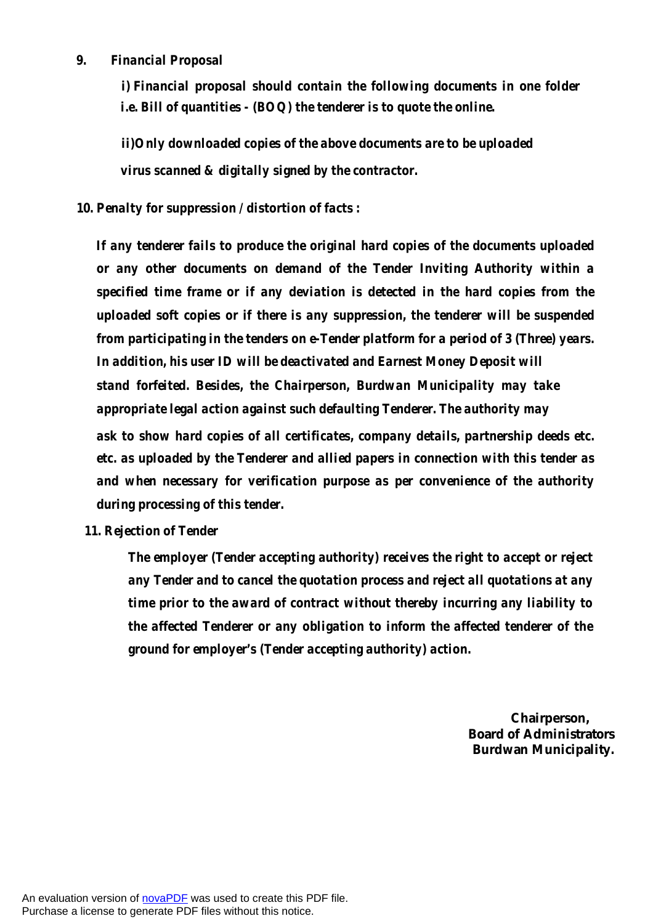#### *9. Financial Proposal*

*i) Financial proposal should contain the following documents in one folder i.e. Bill of quantities - (BOQ) the tenderer is to quote the online.* 

*ii)Only downloaded copies of the above documents are to be uploaded virus scanned & digitally signed by the contractor.*

*10. Penalty for suppression / distortion of facts :* 

*If any tenderer fails to produce the original hard copies of the documents uploaded or any other documents on demand of the Tender Inviting Authority within a specified time frame or if any deviation is detected in the hard copies from the uploaded soft copies or if there is any suppression, the tenderer will be suspended from participating in the tenders on e-Tender platform for a period of 3 (Three) years. In addition, his user ID will be deactivated and Earnest Money Deposit will stand forfeited. Besides, the Chairperson, Burdwan Municipality may take appropriate legal action against such defaulting Tenderer. The authority may ask to show hard copies of all certificates, company details, partnership deeds etc. etc. as uploaded by the Tenderer and allied papers in connection with this tender as and when necessary for verification purpose as per convenience of the authority during processing of this tender.*

#### *11. Rejection of Tender*

*The employer (Tender accepting authority) receives the right to accept or reject any Tender and to cancel the quotation process and reject all quotations at any time prior to the award of contract without thereby incurring any liability to the affected Tenderer or any obligation to inform the affected tenderer of the ground for employer's (Tender accepting authority) action.*

> **Chairperson, Board of Administrators Burdwan Municipality.**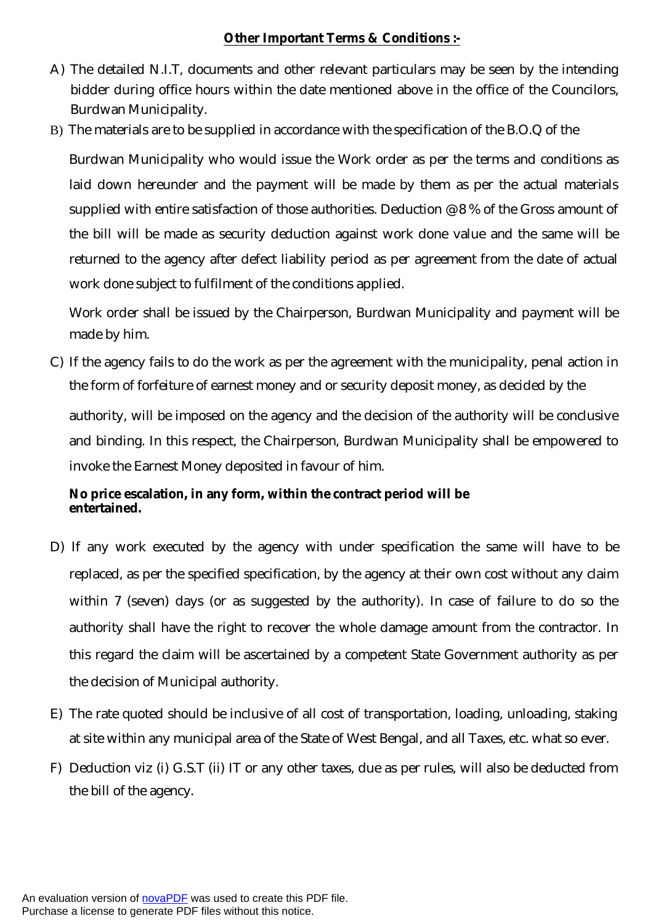# **Other Important Terms & Conditions :-**

- A) The detailed N.I.T, documents and other relevant particulars may be seen by the intending bidder during office hours within the date mentioned above in the office of the Councilors, Burdwan Municipality.
- B) The materials are to be supplied in accordance with the specification of the B.O.Q of the

Burdwan Municipality who would issue the Work order as per the terms and conditions as laid down hereunder and the payment will be made by them as per the actual materials supplied with entire satisfaction of those authorities. Deduction @ 8 % of the Gross amount of the bill will be made as security deduction against work done value and the same will be returned to the agency after defect liability period as per agreement from the date of actual work done subject to fulfilment of the conditions applied.

Work order shall be issued by the Chairperson, Burdwan Municipality and payment will be made by him.

C) If the agency fails to do the work as per the agreement with the municipality, penal action in the form of forfeiture of earnest money and or security deposit money, as decided by the

authority, will be imposed on the agency and the decision of the authority will be conclusive and binding. In this respect, the Chairperson, Burdwan Municipality shall be empowered to invoke the Earnest Money deposited in favour of him.

# **No price escalation, in any form, within the contract period will be entertained.**

- D) If any work executed by the agency with under specification the same will have to be replaced, as per the specified specification, by the agency at their own cost without any claim within 7 (seven) days (or as suggested by the authority). In case of failure to do so the authority shall have the right to recover the whole damage amount from the contractor. In this regard the claim will be ascertained by a competent State Government authority as per the decision of Municipal authority.
- E) The rate quoted should be inclusive of all cost of transportation, loading, unloading, staking at site within any municipal area of the State of West Bengal, and all Taxes, etc. what so ever.
- F) Deduction viz (i) G.S.T (ii) IT or any other taxes, due as per rules, will also be deducted from the bill of the agency.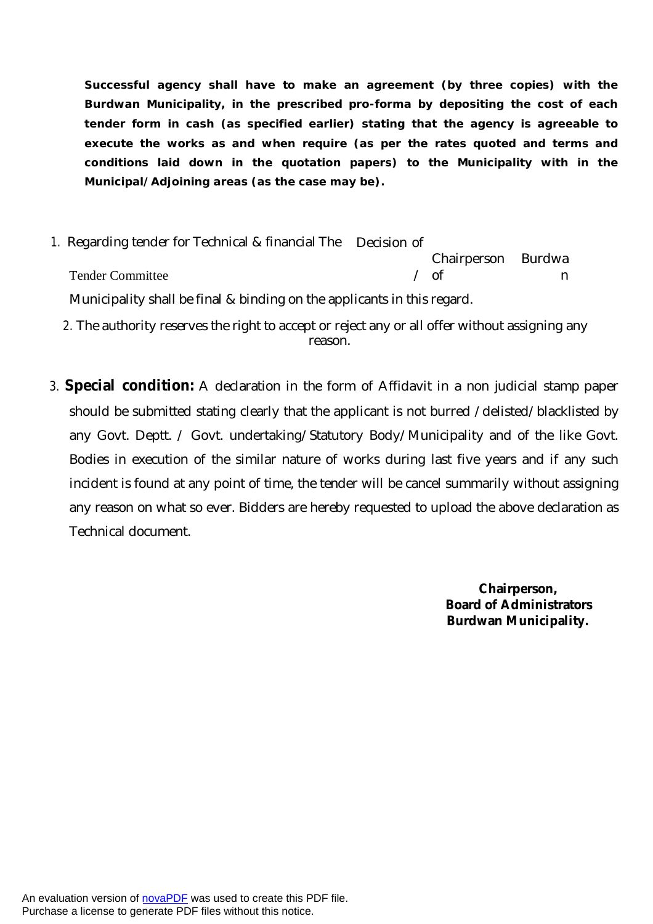**Successful agency shall have to make an agreement (by three copies) with the Burdwan Municipality, in the prescribed pro-forma by depositing the cost of each tender form in cash (as specified earlier) stating that the agency is agreeable to execute the works as and when require (as per the rates quoted and terms and conditions laid down in the quotation papers) to the Municipality with in the Municipal/Adjoining areas (as the case may be).**

- *1.* Regarding tender for Technical & financial The Decision of Tender Committee Chairperson  $\angle$  of Burdwa n Municipality shall be final & binding on the applicants in this regard.
	- *2.* The authority reserves the right to accept or reject any or all offer without assigning any reason.
- *3.* **Special condition:** A declaration in the form of Affidavit in a non judicial stamp paper should be submitted stating clearly that the applicant is not burred /delisted/blacklisted by any Govt. Deptt. / Govt. undertaking/Statutory Body/Municipality and of the like Govt. Bodies in execution of the similar nature of works during last five years and if any such incident is found at any point of time, the tender will be cancel summarily without assigning any reason on what so ever. Bidders are hereby requested to upload the above declaration as Technical document.

 **Chairperson, Board of Administrators Burdwan Municipality.**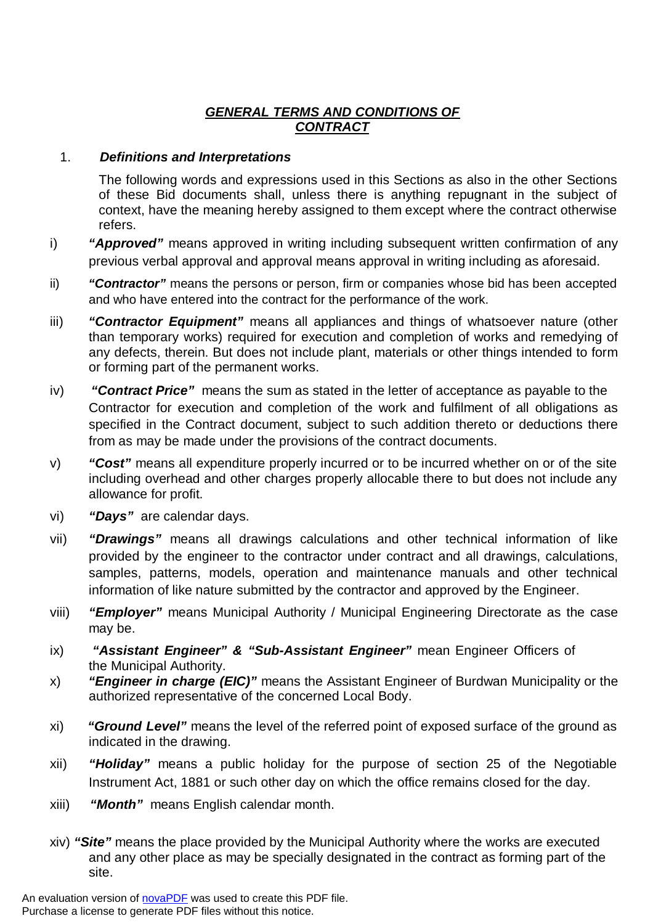# *GENERAL TERMS AND CONDITIONS OF CONTRACT*

# 1. *Definitions and Interpretations*

The following words and expressions used in this Sections as also in the other Sections of these Bid documents shall, unless there is anything repugnant in the subject of context, have the meaning hereby assigned to them except where the contract otherwise refers.

- i) *"Approved"* means approved in writing including subsequent written confirmation of any previous verbal approval and approval means approval in writing including as aforesaid.
- ii) *"Contractor"* means the persons or person, firm or companies whose bid has been accepted and who have entered into the contract for the performance of the work.
- iii) *"Contractor Equipment"* means all appliances and things of whatsoever nature (other than temporary works) required for execution and completion of works and remedying of any defects, therein. But does not include plant, materials or other things intended to form or forming part of the permanent works.
- iv) *"Contract Price"* means the sum as stated in the letter of acceptance as payable to the Contractor for execution and completion of the work and fulfilment of all obligations as specified in the Contract document, subject to such addition thereto or deductions there from as may be made under the provisions of the contract documents.
- v) *"Cost"* means all expenditure properly incurred or to be incurred whether on or of the site including overhead and other charges properly allocable there to but does not include any allowance for profit.
- vi) *"Days"* are calendar days.
- vii) *"Drawings"* means all drawings calculations and other technical information of like provided by the engineer to the contractor under contract and all drawings, calculations, samples, patterns, models, operation and maintenance manuals and other technical information of like nature submitted by the contractor and approved by the Engineer.
- viii) *"Employer"* means Municipal Authority / Municipal Engineering Directorate as the case may be.
- ix) *"Assistant Engineer" & "Sub-Assistant Engineer"* mean Engineer Officers of the Municipal Authority.
- x) *"Engineer in charge (EIC)"* means the Assistant Engineer of Burdwan Municipality or the authorized representative of the concerned Local Body.
- xi) *"Ground Level"* means the level of the referred point of exposed surface of the ground as indicated in the drawing.
- xii) *"Holiday"* means a public holiday for the purpose of section 25 of the Negotiable Instrument Act, 1881 or such other day on which the office remains closed for the day.
- xiii) *"Month"* means English calendar month.
- xiv) *"Site"* means the place provided by the Municipal Authority where the works are executed and any other place as may be specially designated in the contract as forming part of the site.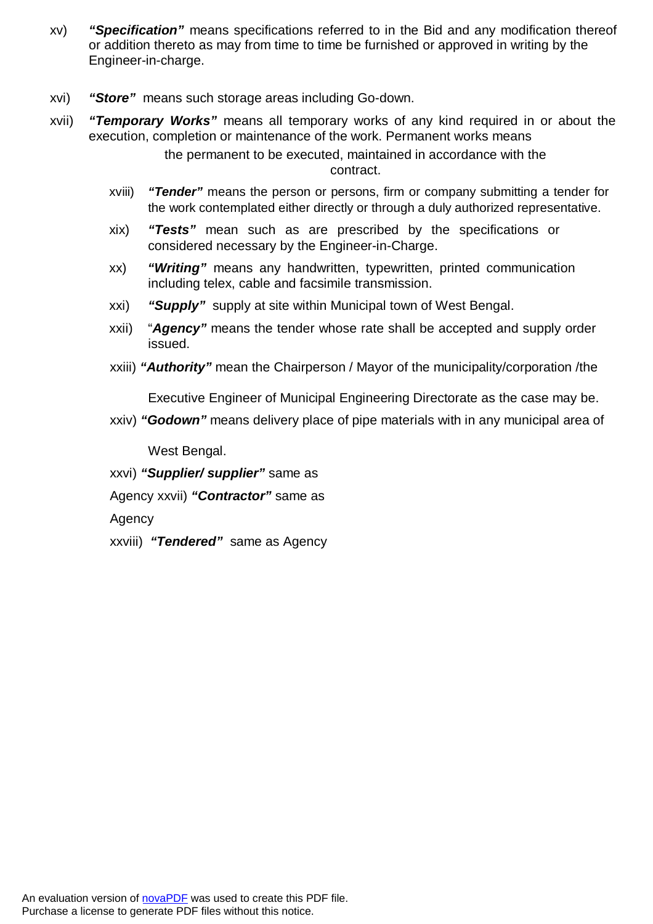- xv) *"Specification"* means specifications referred to in the Bid and any modification thereof or addition thereto as may from time to time be furnished or approved in writing by the Engineer-in-charge.
- xvi) *"Store"* means such storage areas including Go-down.
- xvii) *"Temporary Works"* means all temporary works of any kind required in or about the execution, completion or maintenance of the work. Permanent works means

the permanent to be executed, maintained in accordance with the contract.

- xviii) *"Tender"* means the person or persons, firm or company submitting a tender for the work contemplated either directly or through a duly authorized representative.
- xix) *"Tests"* mean such as are prescribed by the specifications or considered necessary by the Engineer-in-Charge.
- xx) *"Writing"* means any handwritten, typewritten, printed communication including telex, cable and facsimile transmission.
- xxi) *"Supply"* supply at site within Municipal town of West Bengal.
- xxii) "*Agency"* means the tender whose rate shall be accepted and supply order issued.
- xxiii) *"Authority"* mean the Chairperson / Mayor of the municipality/corporation /the

Executive Engineer of Municipal Engineering Directorate as the case may be.

xxiv) *"Godown"* means delivery place of pipe materials with in any municipal area of

West Bengal.

xxvi) *"Supplier/ supplier"* same as

Agency xxvii) *"Contractor"* same as

Agency

xxviii) *"Tendered"* same as Agency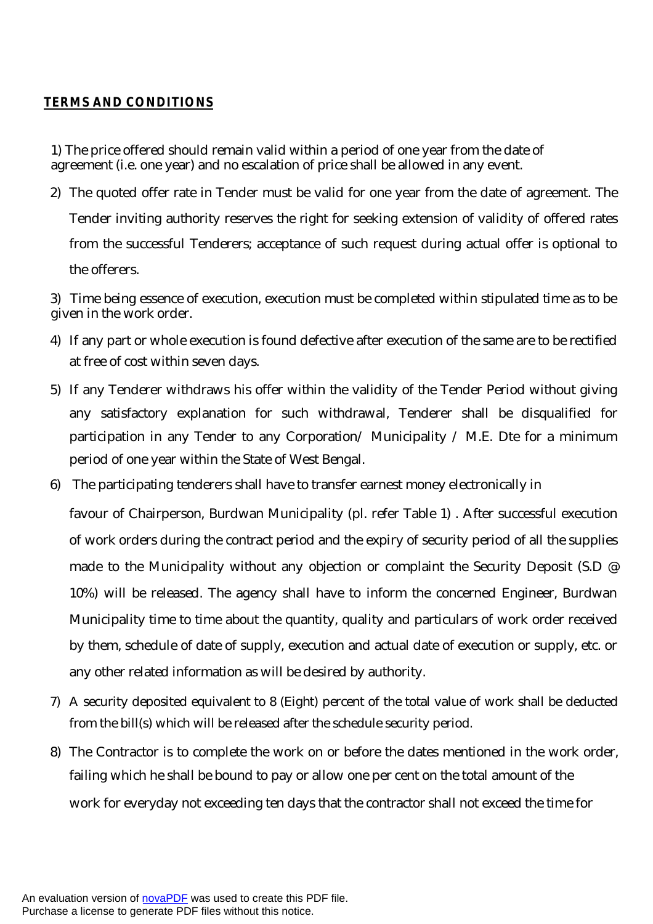# *TERMS AND CONDITIONS*

1) The price offered should remain valid within a period of one year from the date of agreement (i.e. one year) and no escalation of price shall be allowed in any event.

2) The quoted offer rate in Tender must be valid for one year from the date of agreement. The Tender inviting authority reserves the right for seeking extension of validity of offered rates from the successful Tenderers; acceptance of such request during actual offer is optional to the offerers.

3) Time being essence of execution, execution must be completed within stipulated time as to be given in the work order.

- 4) If any part or whole execution is found defective after execution of the same are to be rectified at free of cost within seven days.
- 5) If any Tenderer withdraws his offer within the validity of the Tender Period without giving any satisfactory explanation for such withdrawal, Tenderer shall be disqualified for participation in any Tender to any Corporation/ Municipality / M.E. Dte for a minimum period of one year within the State of West Bengal.
- 6) The participating tenderers shall have to transfer earnest money electronically in

favour of Chairperson, Burdwan Municipality (pl. refer Table 1) . After successful execution of work orders during the contract period and the expiry of security period of all the supplies made to the Municipality without any objection or complaint the Security Deposit (S.D @ 10%) will be released. The agency shall have to inform the concerned Engineer, Burdwan Municipality time to time about the quantity, quality and particulars of work order received by them, schedule of date of supply, execution and actual date of execution or supply, etc. or any other related information as will be desired by authority.

- 7) A security deposited equivalent to 8 (Eight) percent of the total value of work shall be deducted from the bill(s) which will be released after the schedule security period.
- 8) The Contractor is to complete the work on or before the dates mentioned in the work order, failing which he shall be bound to pay or allow one per cent on the total amount of the work for everyday not exceeding ten days that the contractor shall not exceed the time for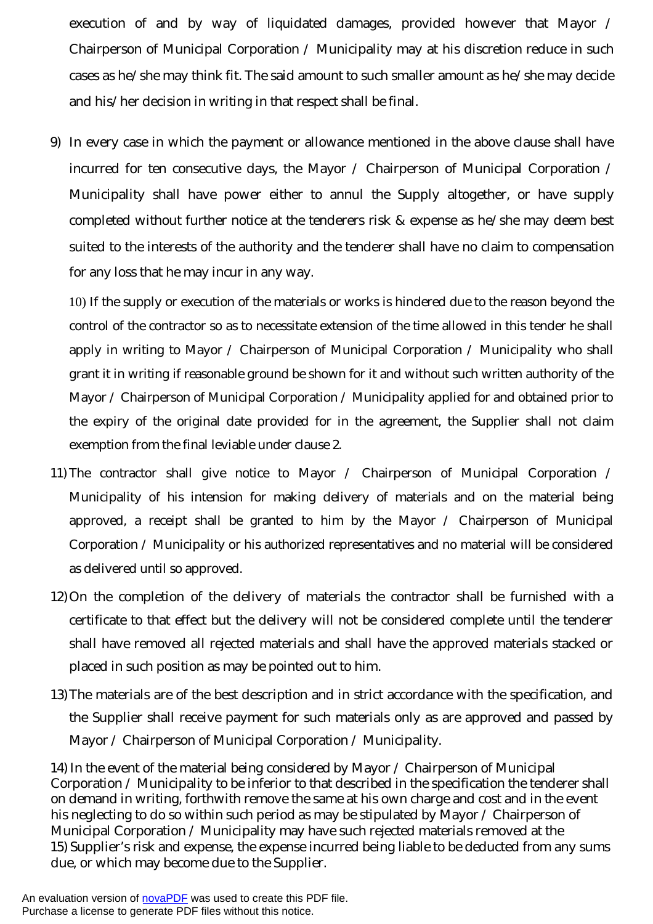execution of and by way of liquidated damages, provided however that Mayor / Chairperson of Municipal Corporation / Municipality may at his discretion reduce in such cases as he/she may think fit. The said amount to such smaller amount as he/she may decide and his/her decision in writing in that respect shall be final.

9) In every case in which the payment or allowance mentioned in the above clause shall have incurred for ten consecutive days, the Mayor / Chairperson of Municipal Corporation / Municipality shall have power either to annul the Supply altogether, or have supply completed without further notice at the tenderers risk & expense as he/she may deem best suited to the interests of the authority and the tenderer shall have no claim to compensation for any loss that he may incur in any way.

10) If the supply or execution of the materials or works is hindered due to the reason beyond the control of the contractor so as to necessitate extension of the time allowed in this tender he shall apply in writing to Mayor / Chairperson of Municipal Corporation / Municipality who shall grant it in writing if reasonable ground be shown for it and without such written authority of the Mayor / Chairperson of Municipal Corporation / Municipality applied for and obtained prior to the expiry of the original date provided for in the agreement, the Supplier shall not claim exemption from the final leviable under clause 2.

- 11) The contractor shall give notice to Mayor / Chairperson of Municipal Corporation / Municipality of his intension for making delivery of materials and on the material being approved, a receipt shall be granted to him by the Mayor / Chairperson of Municipal Corporation / Municipality or his authorized representatives and no material will be considered as delivered until so approved.
- 12)On the completion of the delivery of materials the contractor shall be furnished with a certificate to that effect but the delivery will not be considered complete until the tenderer shall have removed all rejected materials and shall have the approved materials stacked or placed in such position as may be pointed out to him.
- 13)The materials are of the best description and in strict accordance with the specification, and the Supplier shall receive payment for such materials only as are approved and passed by Mayor / Chairperson of Municipal Corporation / Municipality.

14) In the event of the material being considered by Mayor / Chairperson of Municipal Corporation / Municipality to be inferior to that described in the specification the tenderer shall on demand in writing, forthwith remove the same at his own charge and cost and in the event his neglecting to do so within such period as may be stipulated by Mayor / Chairperson of Municipal Corporation / Municipality may have such rejected materials removed at the 15) Supplier's risk and expense, the expense incurred being liable to be deducted from any sums due, or which may become due to the Supplier.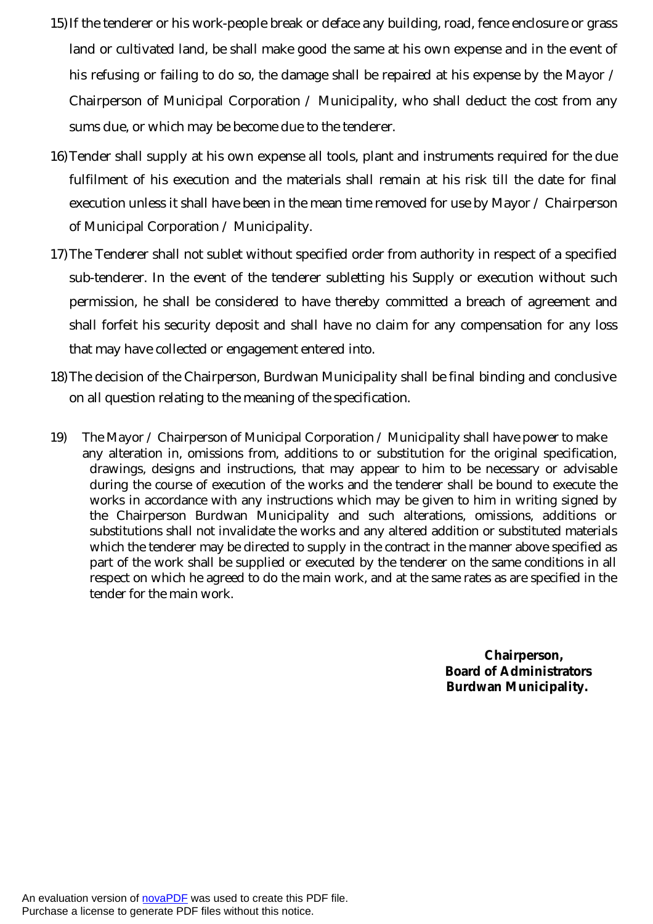- 15)If the tenderer or his work-people break or deface any building, road, fence enclosure or grass land or cultivated land, be shall make good the same at his own expense and in the event of his refusing or failing to do so, the damage shall be repaired at his expense by the Mayor / Chairperson of Municipal Corporation / Municipality, who shall deduct the cost from any sums due, or which may be become due to the tenderer.
- 16)Tender shall supply at his own expense all tools, plant and instruments required for the due fulfilment of his execution and the materials shall remain at his risk till the date for final execution unless it shall have been in the mean time removed for use by Mayor / Chairperson of Municipal Corporation / Municipality.
- 17)The Tenderer shall not sublet without specified order from authority in respect of a specified sub-tenderer. In the event of the tenderer subletting his Supply or execution without such permission, he shall be considered to have thereby committed a breach of agreement and shall forfeit his security deposit and shall have no claim for any compensation for any loss that may have collected or engagement entered into.
- 18)The decision of the Chairperson, Burdwan Municipality shall be final binding and conclusive on all question relating to the meaning of the specification.
- 19) The Mayor / Chairperson of Municipal Corporation / Municipality shall have power to make any alteration in, omissions from, additions to or substitution for the original specification, drawings, designs and instructions, that may appear to him to be necessary or advisable during the course of execution of the works and the tenderer shall be bound to execute the works in accordance with any instructions which may be given to him in writing signed by the Chairperson Burdwan Municipality and such alterations, omissions, additions or substitutions shall not invalidate the works and any altered addition or substituted materials which the tenderer may be directed to supply in the contract in the manner above specified as part of the work shall be supplied or executed by the tenderer on the same conditions in all respect on which he agreed to do the main work, and at the same rates as are specified in the tender for the main work.

**Chairperson, Board of Administrators Burdwan Municipality.**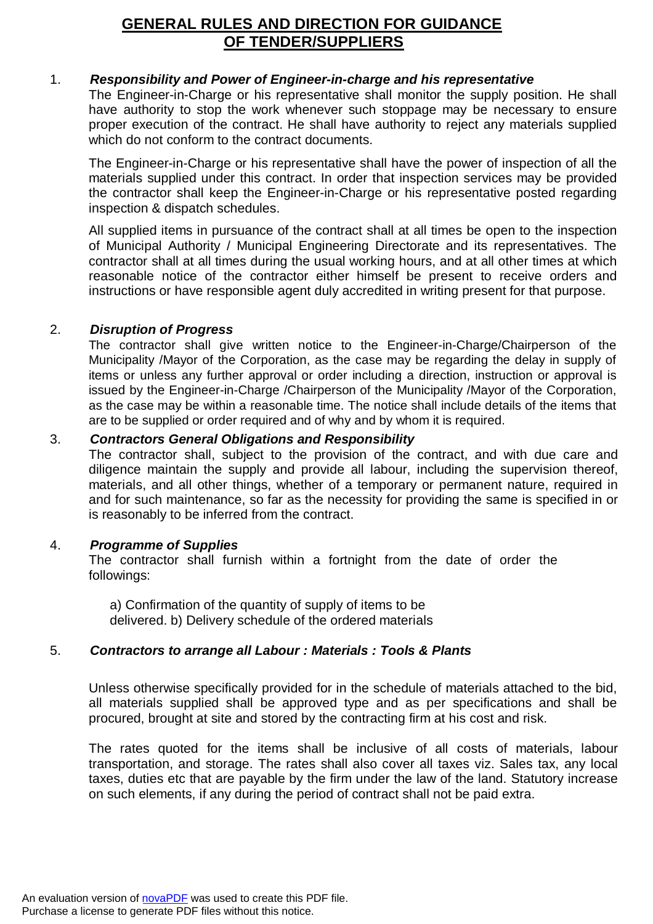# **GENERAL RULES AND DIRECTION FOR GUIDANCE OF TENDER/SUPPLIERS**

## 1. *Responsibility and Power of Engineer-in-charge and his representative*

The Engineer-in-Charge or his representative shall monitor the supply position. He shall have authority to stop the work whenever such stoppage may be necessary to ensure proper execution of the contract. He shall have authority to reject any materials supplied which do not conform to the contract documents.

The Engineer-in-Charge or his representative shall have the power of inspection of all the materials supplied under this contract. In order that inspection services may be provided the contractor shall keep the Engineer-in-Charge or his representative posted regarding inspection & dispatch schedules.

All supplied items in pursuance of the contract shall at all times be open to the inspection of Municipal Authority / Municipal Engineering Directorate and its representatives. The contractor shall at all times during the usual working hours, and at all other times at which reasonable notice of the contractor either himself be present to receive orders and instructions or have responsible agent duly accredited in writing present for that purpose.

#### 2. *Disruption of Progress*

The contractor shall give written notice to the Engineer-in-Charge/Chairperson of the Municipality /Mayor of the Corporation, as the case may be regarding the delay in supply of items or unless any further approval or order including a direction, instruction or approval is issued by the Engineer-in-Charge /Chairperson of the Municipality /Mayor of the Corporation, as the case may be within a reasonable time. The notice shall include details of the items that are to be supplied or order required and of why and by whom it is required.

#### 3. *Contractors General Obligations and Responsibility*

The contractor shall, subject to the provision of the contract, and with due care and diligence maintain the supply and provide all labour, including the supervision thereof, materials, and all other things, whether of a temporary or permanent nature, required in and for such maintenance, so far as the necessity for providing the same is specified in or is reasonably to be inferred from the contract.

#### 4. *Programme of Supplies*

The contractor shall furnish within a fortnight from the date of order the followings:

a) Confirmation of the quantity of supply of items to be delivered. b) Delivery schedule of the ordered materials

# 5. *Contractors to arrange all Labour : Materials : Tools & Plants*

Unless otherwise specifically provided for in the schedule of materials attached to the bid, all materials supplied shall be approved type and as per specifications and shall be procured, brought at site and stored by the contracting firm at his cost and risk.

The rates quoted for the items shall be inclusive of all costs of materials, labour transportation, and storage. The rates shall also cover all taxes viz. Sales tax, any local taxes, duties etc that are payable by the firm under the law of the land. Statutory increase on such elements, if any during the period of contract shall not be paid extra.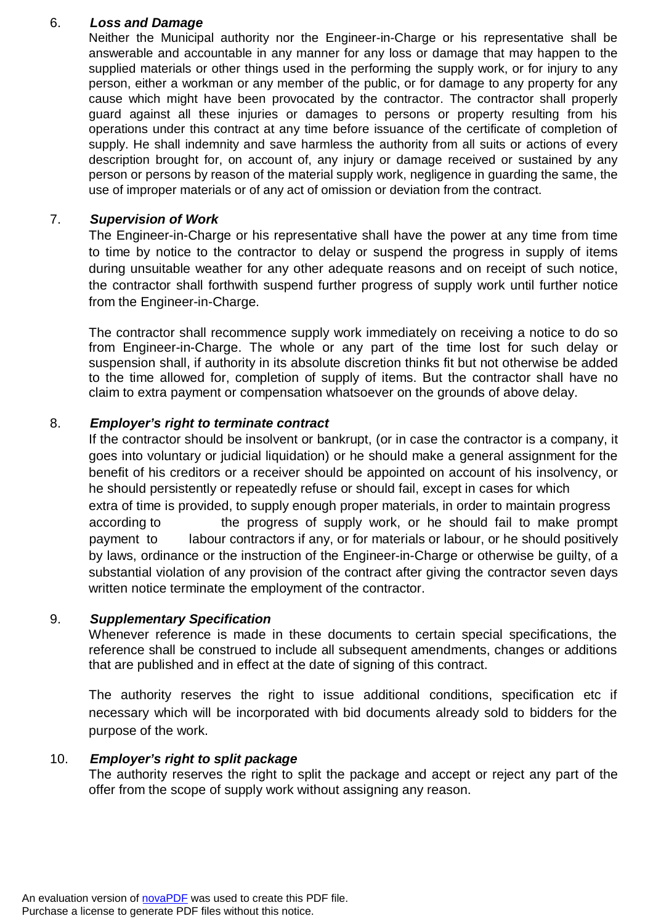#### 6. *Loss and Damage*

Neither the Municipal authority nor the Engineer-in-Charge or his representative shall be answerable and accountable in any manner for any loss or damage that may happen to the supplied materials or other things used in the performing the supply work, or for injury to any person, either a workman or any member of the public, or for damage to any property for any cause which might have been provocated by the contractor. The contractor shall properly guard against all these injuries or damages to persons or property resulting from his operations under this contract at any time before issuance of the certificate of completion of supply. He shall indemnity and save harmless the authority from all suits or actions of every description brought for, on account of, any injury or damage received or sustained by any person or persons by reason of the material supply work, negligence in guarding the same, the use of improper materials or of any act of omission or deviation from the contract.

### 7. *Supervision of Work*

The Engineer-in-Charge or his representative shall have the power at any time from time to time by notice to the contractor to delay or suspend the progress in supply of items during unsuitable weather for any other adequate reasons and on receipt of such notice, the contractor shall forthwith suspend further progress of supply work until further notice from the Engineer-in-Charge.

The contractor shall recommence supply work immediately on receiving a notice to do so from Engineer-in-Charge. The whole or any part of the time lost for such delay or suspension shall, if authority in its absolute discretion thinks fit but not otherwise be added to the time allowed for, completion of supply of items. But the contractor shall have no claim to extra payment or compensation whatsoever on the grounds of above delay.

## 8. *Employer's right to terminate contract*

If the contractor should be insolvent or bankrupt, (or in case the contractor is a company, it goes into voluntary or judicial liquidation) or he should make a general assignment for the benefit of his creditors or a receiver should be appointed on account of his insolvency, or he should persistently or repeatedly refuse or should fail, except in cases for which extra of time is provided, to supply enough proper materials, in order to maintain progress according to the progress of supply work, or he should fail to make prompt payment to labour contractors if any, or for materials or labour, or he should positively by laws, ordinance or the instruction of the Engineer-in-Charge or otherwise be guilty, of a substantial violation of any provision of the contract after giving the contractor seven days written notice terminate the employment of the contractor.

#### 9. *Supplementary Specification*

Whenever reference is made in these documents to certain special specifications, the reference shall be construed to include all subsequent amendments, changes or additions that are published and in effect at the date of signing of this contract.

The authority reserves the right to issue additional conditions, specification etc if necessary which will be incorporated with bid documents already sold to bidders for the purpose of the work.

#### 10. *Employer's right to split package*

The authority reserves the right to split the package and accept or reject any part of the offer from the scope of supply work without assigning any reason.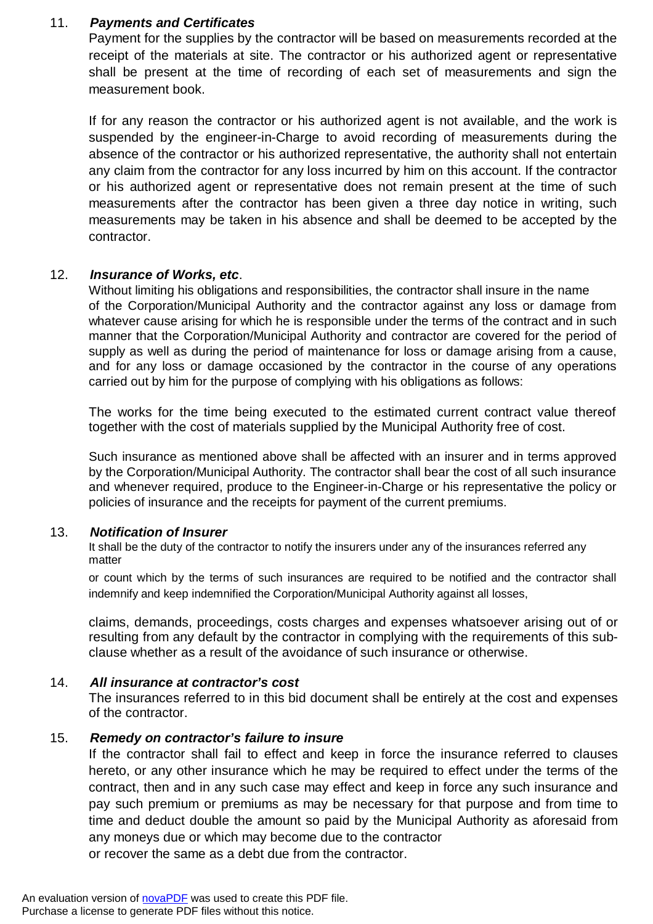#### 11. *Payments and Certificates*

Payment for the supplies by the contractor will be based on measurements recorded at the receipt of the materials at site. The contractor or his authorized agent or representative shall be present at the time of recording of each set of measurements and sign the measurement book.

If for any reason the contractor or his authorized agent is not available, and the work is suspended by the engineer-in-Charge to avoid recording of measurements during the absence of the contractor or his authorized representative, the authority shall not entertain any claim from the contractor for any loss incurred by him on this account. If the contractor or his authorized agent or representative does not remain present at the time of such measurements after the contractor has been given a three day notice in writing, such measurements may be taken in his absence and shall be deemed to be accepted by the contractor.

#### 12. *Insurance of Works, etc*.

Without limiting his obligations and responsibilities, the contractor shall insure in the name of the Corporation/Municipal Authority and the contractor against any loss or damage from whatever cause arising for which he is responsible under the terms of the contract and in such manner that the Corporation/Municipal Authority and contractor are covered for the period of supply as well as during the period of maintenance for loss or damage arising from a cause, and for any loss or damage occasioned by the contractor in the course of any operations carried out by him for the purpose of complying with his obligations as follows:

The works for the time being executed to the estimated current contract value thereof together with the cost of materials supplied by the Municipal Authority free of cost.

Such insurance as mentioned above shall be affected with an insurer and in terms approved by the Corporation/Municipal Authority. The contractor shall bear the cost of all such insurance and whenever required, produce to the Engineer-in-Charge or his representative the policy or policies of insurance and the receipts for payment of the current premiums.

#### 13. *Notification of Insurer*

It shall be the duty of the contractor to notify the insurers under any of the insurances referred any matter

or count which by the terms of such insurances are required to be notified and the contractor shall indemnify and keep indemnified the Corporation/Municipal Authority against all losses,

claims, demands, proceedings, costs charges and expenses whatsoever arising out of or resulting from any default by the contractor in complying with the requirements of this subclause whether as a result of the avoidance of such insurance or otherwise.

#### 14. *All insurance at contractor's cost*

The insurances referred to in this bid document shall be entirely at the cost and expenses of the contractor.

#### 15. *Remedy on contractor's failure to insure*

If the contractor shall fail to effect and keep in force the insurance referred to clauses hereto, or any other insurance which he may be required to effect under the terms of the contract, then and in any such case may effect and keep in force any such insurance and pay such premium or premiums as may be necessary for that purpose and from time to time and deduct double the amount so paid by the Municipal Authority as aforesaid from any moneys due or which may become due to the contractor

or recover the same as a debt due from the contractor.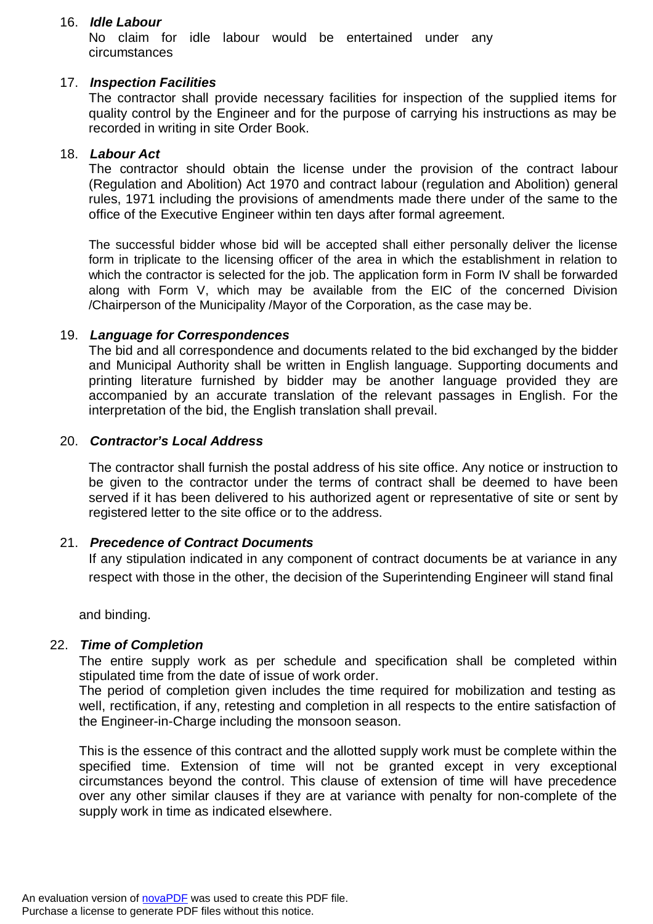#### 16. *Idle Labour*

No claim for idle labour would be entertained under any circumstances

#### 17. *Inspection Facilities*

The contractor shall provide necessary facilities for inspection of the supplied items for quality control by the Engineer and for the purpose of carrying his instructions as may be recorded in writing in site Order Book.

#### 18. *Labour Act*

The contractor should obtain the license under the provision of the contract labour (Regulation and Abolition) Act 1970 and contract labour (regulation and Abolition) general rules, 1971 including the provisions of amendments made there under of the same to the office of the Executive Engineer within ten days after formal agreement.

The successful bidder whose bid will be accepted shall either personally deliver the license form in triplicate to the licensing officer of the area in which the establishment in relation to which the contractor is selected for the job. The application form in Form IV shall be forwarded along with Form V, which may be available from the EIC of the concerned Division /Chairperson of the Municipality /Mayor of the Corporation, as the case may be.

#### 19. *Language for Correspondences*

The bid and all correspondence and documents related to the bid exchanged by the bidder and Municipal Authority shall be written in English language. Supporting documents and printing literature furnished by bidder may be another language provided they are accompanied by an accurate translation of the relevant passages in English. For the interpretation of the bid, the English translation shall prevail.

#### 20. *Contractor's Local Address*

The contractor shall furnish the postal address of his site office. Any notice or instruction to be given to the contractor under the terms of contract shall be deemed to have been served if it has been delivered to his authorized agent or representative of site or sent by registered letter to the site office or to the address.

#### 21. *Precedence of Contract Documents*

If any stipulation indicated in any component of contract documents be at variance in any respect with those in the other, the decision of the Superintending Engineer will stand final

and binding.

#### 22. *Time of Completion*

The entire supply work as per schedule and specification shall be completed within stipulated time from the date of issue of work order.

The period of completion given includes the time required for mobilization and testing as well, rectification, if any, retesting and completion in all respects to the entire satisfaction of the Engineer-in-Charge including the monsoon season.

This is the essence of this contract and the allotted supply work must be complete within the specified time. Extension of time will not be granted except in very exceptional circumstances beyond the control. This clause of extension of time will have precedence over any other similar clauses if they are at variance with penalty for non-complete of the supply work in time as indicated elsewhere.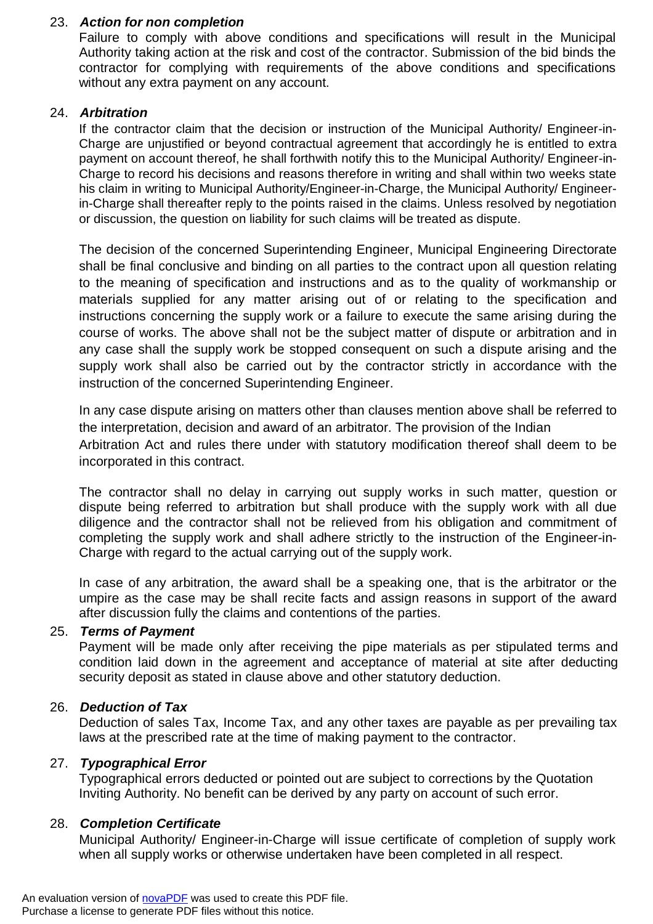## 23. *Action for non completion*

Failure to comply with above conditions and specifications will result in the Municipal Authority taking action at the risk and cost of the contractor. Submission of the bid binds the contractor for complying with requirements of the above conditions and specifications without any extra payment on any account.

#### 24. *Arbitration*

If the contractor claim that the decision or instruction of the Municipal Authority/ Engineer-in-Charge are unjustified or beyond contractual agreement that accordingly he is entitled to extra payment on account thereof, he shall forthwith notify this to the Municipal Authority/ Engineer-in-Charge to record his decisions and reasons therefore in writing and shall within two weeks state his claim in writing to Municipal Authority/Engineer-in-Charge, the Municipal Authority/ Engineerin-Charge shall thereafter reply to the points raised in the claims. Unless resolved by negotiation or discussion, the question on liability for such claims will be treated as dispute.

The decision of the concerned Superintending Engineer, Municipal Engineering Directorate shall be final conclusive and binding on all parties to the contract upon all question relating to the meaning of specification and instructions and as to the quality of workmanship or materials supplied for any matter arising out of or relating to the specification and instructions concerning the supply work or a failure to execute the same arising during the course of works. The above shall not be the subject matter of dispute or arbitration and in any case shall the supply work be stopped consequent on such a dispute arising and the supply work shall also be carried out by the contractor strictly in accordance with the instruction of the concerned Superintending Engineer.

In any case dispute arising on matters other than clauses mention above shall be referred to the interpretation, decision and award of an arbitrator. The provision of the Indian Arbitration Act and rules there under with statutory modification thereof shall deem to be incorporated in this contract.

The contractor shall no delay in carrying out supply works in such matter, question or dispute being referred to arbitration but shall produce with the supply work with all due diligence and the contractor shall not be relieved from his obligation and commitment of completing the supply work and shall adhere strictly to the instruction of the Engineer-in-Charge with regard to the actual carrying out of the supply work.

In case of any arbitration, the award shall be a speaking one, that is the arbitrator or the umpire as the case may be shall recite facts and assign reasons in support of the award after discussion fully the claims and contentions of the parties.

## 25. *Terms of Payment*

Payment will be made only after receiving the pipe materials as per stipulated terms and condition laid down in the agreement and acceptance of material at site after deducting security deposit as stated in clause above and other statutory deduction.

#### 26. *Deduction of Tax*

Deduction of sales Tax, Income Tax, and any other taxes are payable as per prevailing tax laws at the prescribed rate at the time of making payment to the contractor.

#### 27. *Typographical Error*

Typographical errors deducted or pointed out are subject to corrections by the Quotation Inviting Authority. No benefit can be derived by any party on account of such error.

#### 28. *Completion Certificate*

Municipal Authority/ Engineer-in-Charge will issue certificate of completion of supply work when all supply works or otherwise undertaken have been completed in all respect.

An evaluation version of [novaPDF](http://www.novapdf.com/) was used to create this PDF file. Purchase a license to generate PDF files without this notice.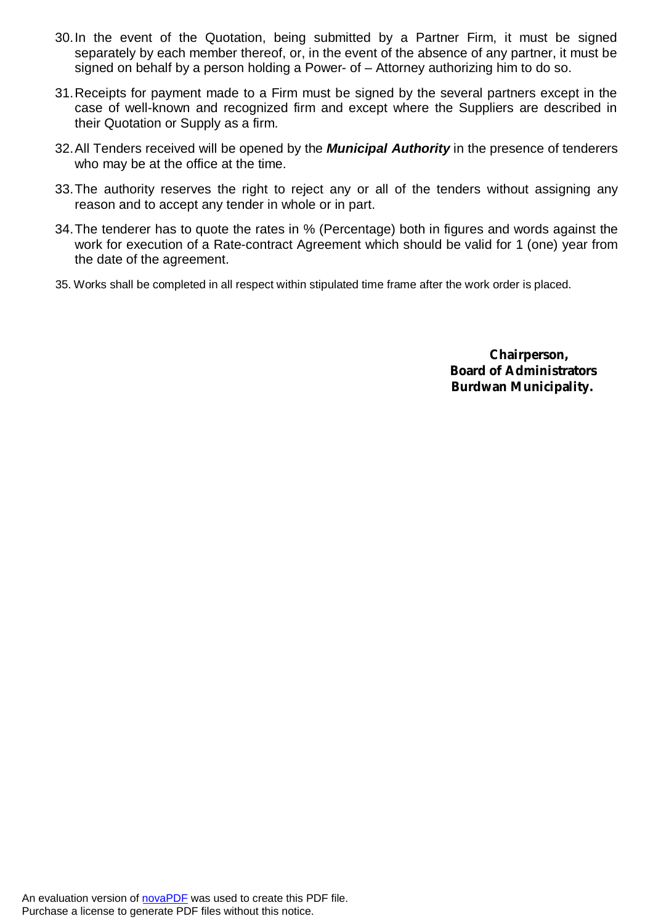- 30.In the event of the Quotation, being submitted by a Partner Firm, it must be signed separately by each member thereof, or, in the event of the absence of any partner, it must be signed on behalf by a person holding a Power- of – Attorney authorizing him to do so.
- 31.Receipts for payment made to a Firm must be signed by the several partners except in the case of well-known and recognized firm and except where the Suppliers are described in their Quotation or Supply as a firm.
- 32.All Tenders received will be opened by the *Municipal Authority* in the presence of tenderers who may be at the office at the time.
- 33.The authority reserves the right to reject any or all of the tenders without assigning any reason and to accept any tender in whole or in part.
- 34.The tenderer has to quote the rates in % (Percentage) both in figures and words against the work for execution of a Rate-contract Agreement which should be valid for 1 (one) year from the date of the agreement.
- 35. Works shall be completed in all respect within stipulated time frame after the work order is placed.

**Chairperson, Board of Administrators Burdwan Municipality.**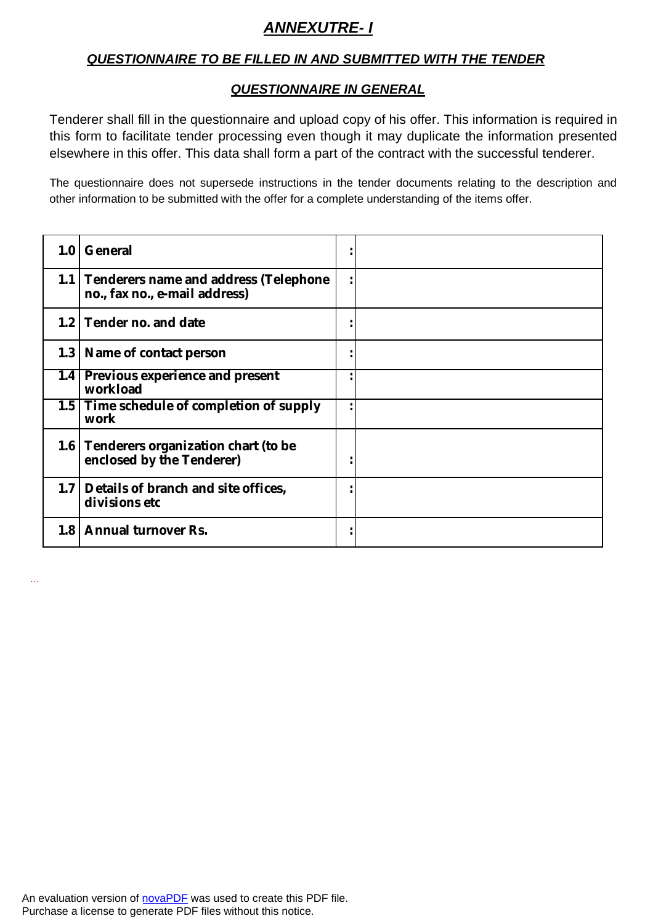# *ANNEXUTRE- I*

# *QUESTIONNAIRE TO BE FILLED IN AND SUBMITTED WITH THE TENDER*

## *QUESTIONNAIRE IN GENERAL*

Tenderer shall fill in the questionnaire and upload copy of his offer. This information is required in this form to facilitate tender processing even though it may duplicate the information presented elsewhere in this offer. This data shall form a part of the contract with the successful tenderer.

The questionnaire does not supersede instructions in the tender documents relating to the description and other information to be submitted with the offer for a complete understanding of the items offer.

| 1.0 <sub>1</sub> | General                                                                    |  |
|------------------|----------------------------------------------------------------------------|--|
|                  | 1.1 Tenderers name and address (Telephone<br>no., fax no., e-mail address) |  |
|                  | 1.2 Tender no. and date                                                    |  |
|                  | 1.3   Name of contact person                                               |  |
| 1.4              | Previous experience and present<br>workload                                |  |
|                  | 1.5 Time schedule of completion of supply<br>work                          |  |
|                  | 1.6 Tenderers organization chart (to be<br>enclosed by the Tenderer)       |  |
|                  | 1.7 Details of branch and site offices,<br>divisions etc                   |  |
|                  | 1.8   Annual turnover Rs.                                                  |  |

An evaluation version of [novaPDF](http://www.novapdf.com/) was used to create this PDF file. Purchase a license to generate PDF files without this notice.

…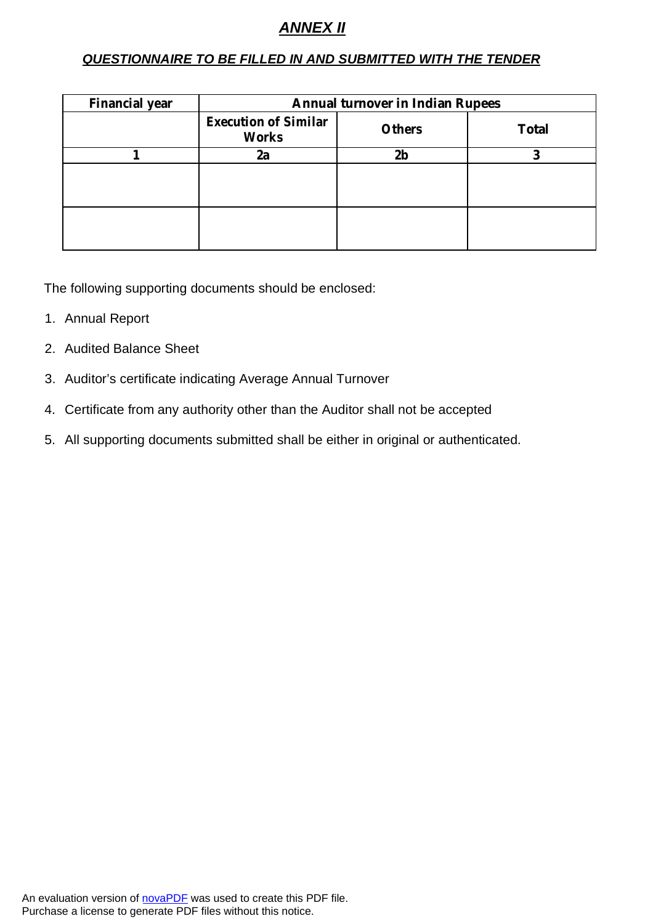# *ANNEX II*

# *QUESTIONNAIRE TO BE FILLED IN AND SUBMITTED WITH THE TENDER*

| <b>Financial year</b> | <b>Annual turnover in Indian Rupees</b>     |                |              |  |
|-----------------------|---------------------------------------------|----------------|--------------|--|
|                       | <b>Execution of Similar</b><br><b>Works</b> | <b>Others</b>  | <b>Total</b> |  |
|                       | 2a                                          | 2 <sub>b</sub> |              |  |
|                       |                                             |                |              |  |
|                       |                                             |                |              |  |

The following supporting documents should be enclosed:

- 1. Annual Report
- 2. Audited Balance Sheet
- 3. Auditor's certificate indicating Average Annual Turnover
- 4. Certificate from any authority other than the Auditor shall not be accepted
- 5. All supporting documents submitted shall be either in original or authenticated.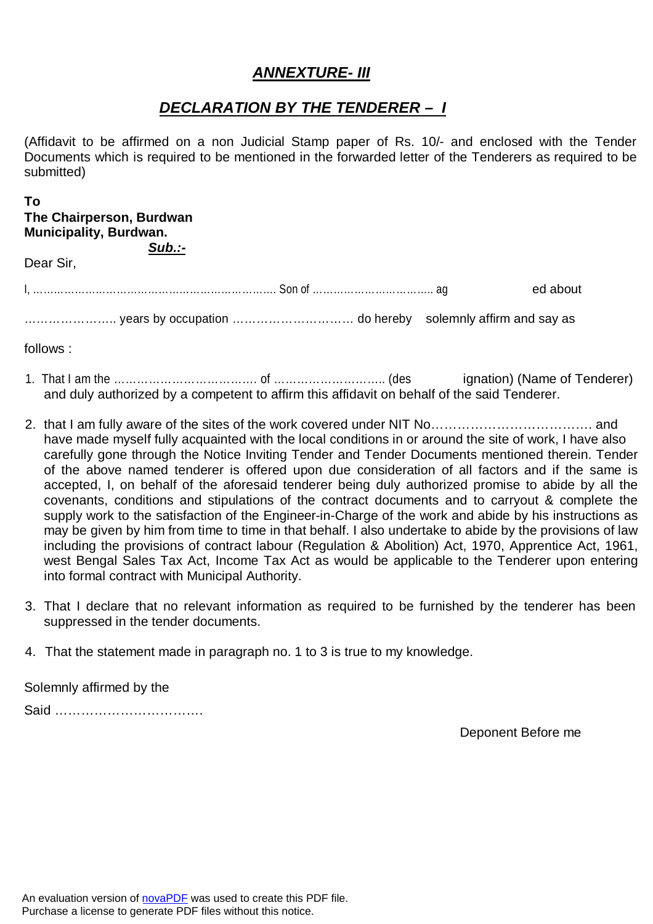# *ANNEXTURE- III*

# *DECLARATION BY THE TENDERER – I*

(Affidavit to be affirmed on a non Judicial Stamp paper of Rs. 10/- and enclosed with the Tender Documents which is required to be mentioned in the forwarded letter of the Tenderers as required to be submitted)

#### **To The Chairperson, Burdwan Municipality, Burdwan.**

*Sub.:-*

Dear Sir,

I, ……………………………………………………………. Son of …………………………….. ag ed about

………………….. years by occupation ………………………… do hereby solemnly affirm and say as

follows :

- 1. That I am the ……………………………………………………………………………… (des ignation) (Name of Tenderer) and duly authorized by a competent to affirm this affidavit on behalf of the said Tenderer.
- 2. that I am fully aware of the sites of the work covered under NIT No………………………………. and have made myself fully acquainted with the local conditions in or around the site of work, I have also carefully gone through the Notice Inviting Tender and Tender Documents mentioned therein. Tender of the above named tenderer is offered upon due consideration of all factors and if the same is accepted, I, on behalf of the aforesaid tenderer being duly authorized promise to abide by all the covenants, conditions and stipulations of the contract documents and to carryout & complete the supply work to the satisfaction of the Engineer-in-Charge of the work and abide by his instructions as may be given by him from time to time in that behalf. I also undertake to abide by the provisions of law including the provisions of contract labour (Regulation & Abolition) Act, 1970, Apprentice Act, 1961, west Bengal Sales Tax Act, Income Tax Act as would be applicable to the Tenderer upon entering into formal contract with Municipal Authority.
- 3. That I declare that no relevant information as required to be furnished by the tenderer has been suppressed in the tender documents.
- 4. That the statement made in paragraph no. 1 to 3 is true to my knowledge.

Solemnly affirmed by the

Said …………………………….

Deponent Before me

An evaluation version of [novaPDF](http://www.novapdf.com/) was used to create this PDF file. Purchase a license to generate PDF files without this notice.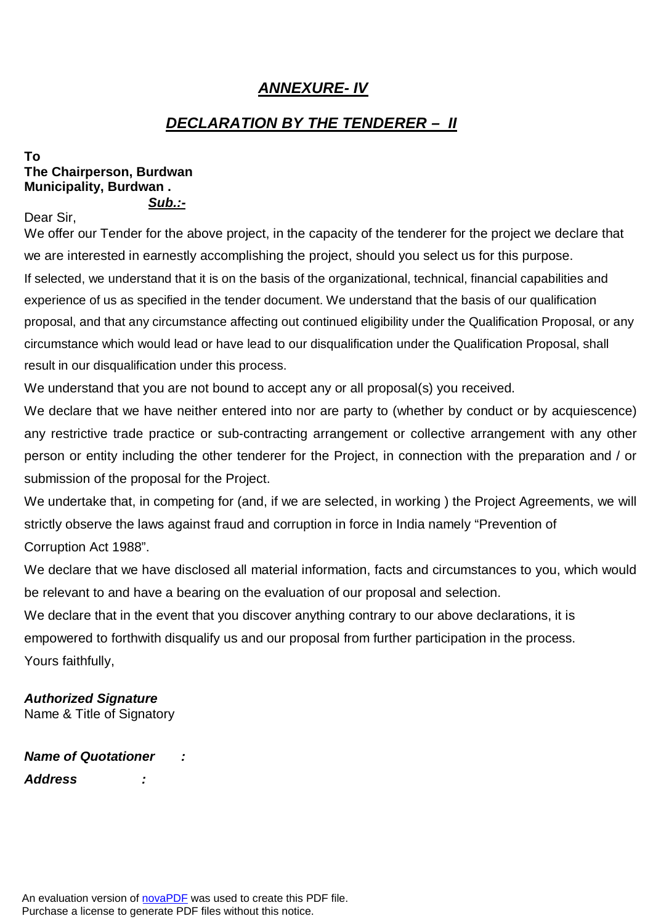# *ANNEXURE- IV*

# *DECLARATION BY THE TENDERER – II*

#### **To The Chairperson, Burdwan Municipality, Burdwan .** *Sub.:-*

Dear Sir,

We offer our Tender for the above project, in the capacity of the tenderer for the project we declare that we are interested in earnestly accomplishing the project, should you select us for this purpose. If selected, we understand that it is on the basis of the organizational, technical, financial capabilities and experience of us as specified in the tender document. We understand that the basis of our qualification proposal, and that any circumstance affecting out continued eligibility under the Qualification Proposal, or any circumstance which would lead or have lead to our disqualification under the Qualification Proposal, shall result in our disqualification under this process.

We understand that you are not bound to accept any or all proposal(s) you received.

We declare that we have neither entered into nor are party to (whether by conduct or by acquiescence) any restrictive trade practice or sub-contracting arrangement or collective arrangement with any other person or entity including the other tenderer for the Project, in connection with the preparation and / or submission of the proposal for the Project.

We undertake that, in competing for (and, if we are selected, in working ) the Project Agreements, we will strictly observe the laws against fraud and corruption in force in India namely "Prevention of Corruption Act 1988".

We declare that we have disclosed all material information, facts and circumstances to you, which would be relevant to and have a bearing on the evaluation of our proposal and selection.

We declare that in the event that you discover anything contrary to our above declarations, it is empowered to forthwith disqualify us and our proposal from further participation in the process. Yours faithfully,

# *Authorized Signature*

Name & Title of Signatory

*Name of Quotationer : Address :*